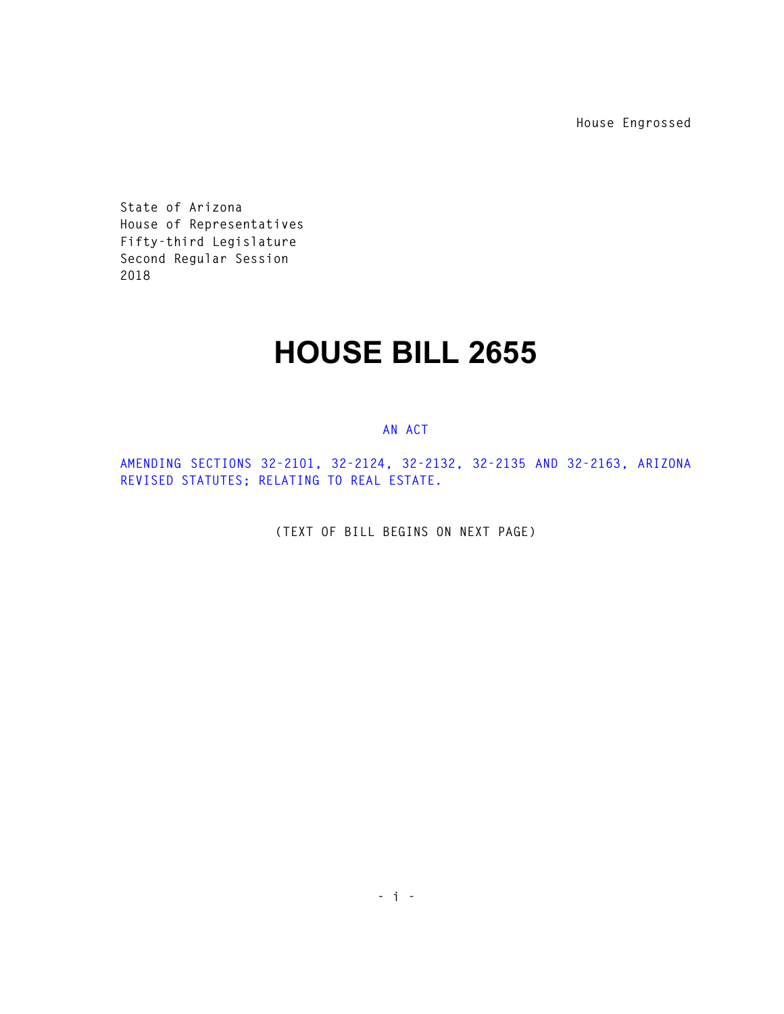**House Engrossed** 

**State of Arizona House of Representatives Fifty-third Legislature Second Regular Session 2018** 

## **HOUSE BILL 2655**

## **AN ACT**

**AMENDING SECTIONS 32-2101, 32-2124, 32-2132, 32-2135 AND 32-2163, ARIZONA REVISED STATUTES; RELATING TO REAL ESTATE.** 

**(TEXT OF BILL BEGINS ON NEXT PAGE)**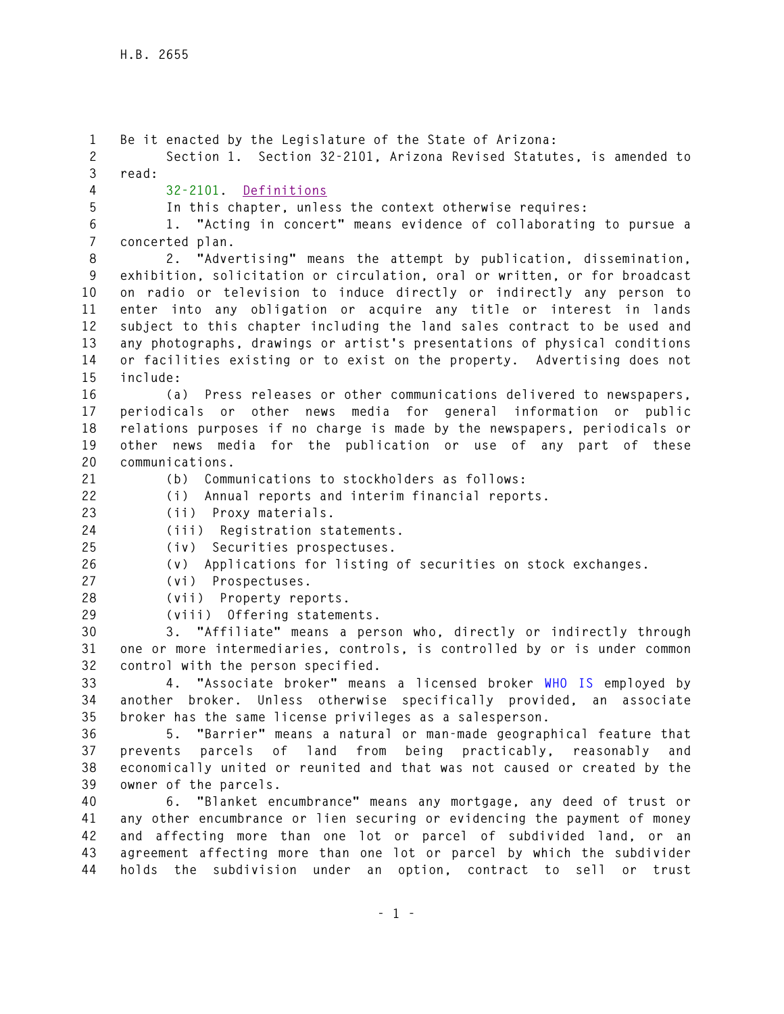**1 Be it enacted by the Legislature of the State of Arizona: 2 Section 1. Section 32-2101, Arizona Revised Statutes, is amended to 3 read: 4 32-2101. Definitions 5 In this chapter, unless the context otherwise requires: 6 1. "Acting in concert" means evidence of collaborating to pursue a 7 concerted plan. 8 2. "Advertising" means the attempt by publication, dissemination, 9 exhibition, solicitation or circulation, oral or written, or for broadcast 10 on radio or television to induce directly or indirectly any person to 11 enter into any obligation or acquire any title or interest in lands 12 subject to this chapter including the land sales contract to be used and 13 any photographs, drawings or artist's presentations of physical conditions 14 or facilities existing or to exist on the property. Advertising does not 15 include: 16 (a) Press releases or other communications delivered to newspapers, 17 periodicals or other news media for general information or public 18 relations purposes if no charge is made by the newspapers, periodicals or 19 other news media for the publication or use of any part of these 20 communications. 21 (b) Communications to stockholders as follows: 22 (i) Annual reports and interim financial reports. 23 (ii) Proxy materials. 24 (iii) Registration statements. 25 (iv) Securities prospectuses. 26 (v) Applications for listing of securities on stock exchanges. 27 (vi) Prospectuses. 28 (vii) Property reports. 29 (viii) Offering statements. 30 3. "Affiliate" means a person who, directly or indirectly through 31 one or more intermediaries, controls, is controlled by or is under common 32 control with the person specified. 33 4. "Associate broker" means a licensed broker WHO IS employed by 34 another broker. Unless otherwise specifically provided, an associate 35 broker has the same license privileges as a salesperson. 36 5. "Barrier" means a natural or man-made geographical feature that 37 prevents parcels of land from being practicably, reasonably and 38 economically united or reunited and that was not caused or created by the 39 owner of the parcels. 40 6. "Blanket encumbrance" means any mortgage, any deed of trust or 41 any other encumbrance or lien securing or evidencing the payment of money 42 and affecting more than one lot or parcel of subdivided land, or an 43 agreement affecting more than one lot or parcel by which the subdivider 44 holds the subdivision under an option, contract to sell or trust**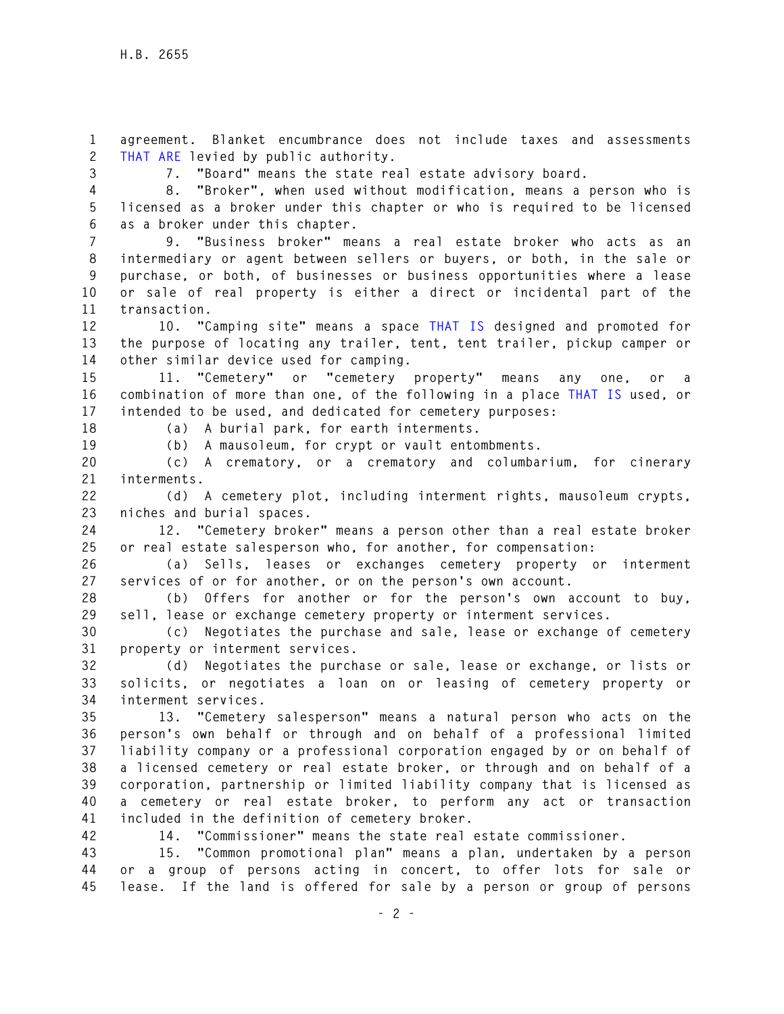**1 agreement. Blanket encumbrance does not include taxes and assessments 2 THAT ARE levied by public authority.** 

**3 7. "Board" means the state real estate advisory board.** 

**4 8. "Broker", when used without modification, means a person who is 5 licensed as a broker under this chapter or who is required to be licensed 6 as a broker under this chapter.** 

**7 9. "Business broker" means a real estate broker who acts as an 8 intermediary or agent between sellers or buyers, or both, in the sale or 9 purchase, or both, of businesses or business opportunities where a lease 10 or sale of real property is either a direct or incidental part of the 11 transaction.** 

**12 10. "Camping site" means a space THAT IS designed and promoted for 13 the purpose of locating any trailer, tent, tent trailer, pickup camper or 14 other similar device used for camping.** 

15 11. "Cemetery" or "cemetery property" means any one, or **16 combination of more than one, of the following in a place THAT IS used, or 17 intended to be used, and dedicated for cemetery purposes:** 

**18 (a) A burial park, for earth interments.** 

**19 (b) A mausoleum, for crypt or vault entombments.** 

**20 (c) A crematory, or a crematory and columbarium, for cinerary 21 interments.** 

**22 (d) A cemetery plot, including interment rights, mausoleum crypts, 23 niches and burial spaces.** 

**24 12. "Cemetery broker" means a person other than a real estate broker 25 or real estate salesperson who, for another, for compensation:** 

**26 (a) Sells, leases or exchanges cemetery property or interment 27 services of or for another, or on the person's own account.** 

**28 (b) Offers for another or for the person's own account to buy, 29 sell, lease or exchange cemetery property or interment services.** 

**30 (c) Negotiates the purchase and sale, lease or exchange of cemetery 31 property or interment services.** 

**32 (d) Negotiates the purchase or sale, lease or exchange, or lists or 33 solicits, or negotiates a loan on or leasing of cemetery property or 34 interment services.** 

**35 13. "Cemetery salesperson" means a natural person who acts on the 36 person's own behalf or through and on behalf of a professional limited 37 liability company or a professional corporation engaged by or on behalf of 38 a licensed cemetery or real estate broker, or through and on behalf of a 39 corporation, partnership or limited liability company that is licensed as 40 a cemetery or real estate broker, to perform any act or transaction 41 included in the definition of cemetery broker.** 

**42 14. "Commissioner" means the state real estate commissioner.** 

**43 15. "Common promotional plan" means a plan, undertaken by a person 44 or a group of persons acting in concert, to offer lots for sale or 45 lease. If the land is offered for sale by a person or group of persons**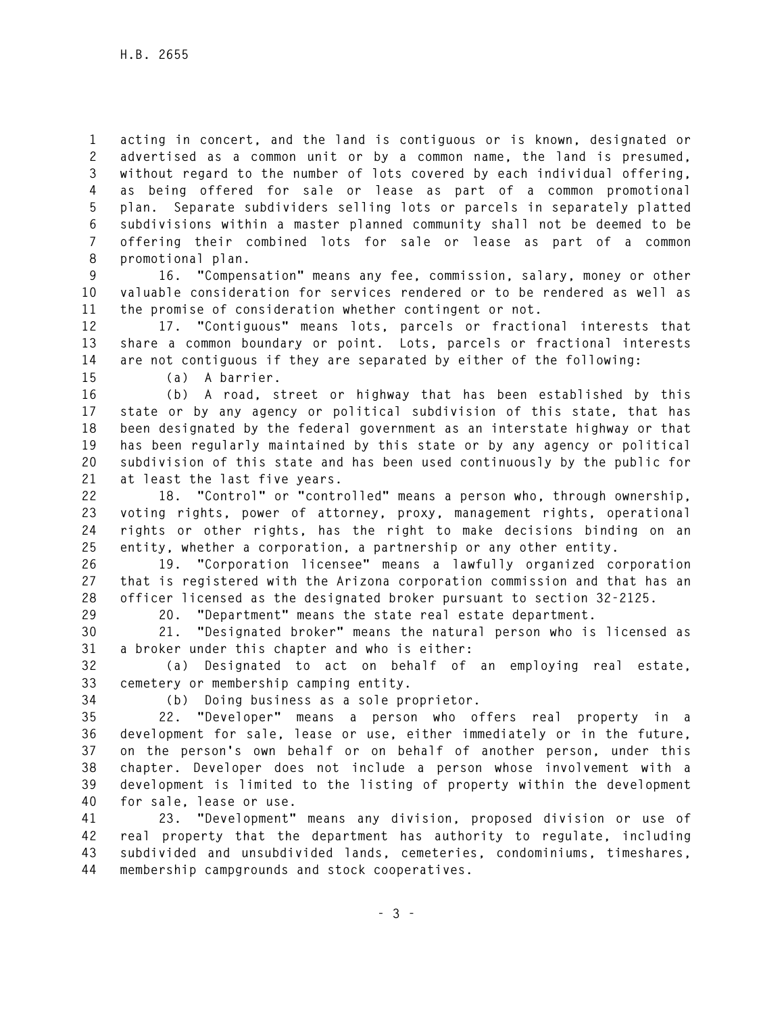**1 acting in concert, and the land is contiguous or is known, designated or 2 advertised as a common unit or by a common name, the land is presumed, 3 without regard to the number of lots covered by each individual offering, 4 as being offered for sale or lease as part of a common promotional 5 plan. Separate subdividers selling lots or parcels in separately platted 6 subdivisions within a master planned community shall not be deemed to be 7 offering their combined lots for sale or lease as part of a common 8 promotional plan.** 

**9 16. "Compensation" means any fee, commission, salary, money or other 10 valuable consideration for services rendered or to be rendered as well as 11 the promise of consideration whether contingent or not.** 

**12 17. "Contiguous" means lots, parcels or fractional interests that 13 share a common boundary or point. Lots, parcels or fractional interests 14 are not contiguous if they are separated by either of the following:** 

**15 (a) A barrier.** 

**16 (b) A road, street or highway that has been established by this 17 state or by any agency or political subdivision of this state, that has 18 been designated by the federal government as an interstate highway or that 19 has been regularly maintained by this state or by any agency or political 20 subdivision of this state and has been used continuously by the public for 21 at least the last five years.** 

**22 18. "Control" or "controlled" means a person who, through ownership, 23 voting rights, power of attorney, proxy, management rights, operational 24 rights or other rights, has the right to make decisions binding on an 25 entity, whether a corporation, a partnership or any other entity.** 

**26 19. "Corporation licensee" means a lawfully organized corporation 27 that is registered with the Arizona corporation commission and that has an 28 officer licensed as the designated broker pursuant to section 32-2125.** 

**29 20. "Department" means the state real estate department.** 

**30 21. "Designated broker" means the natural person who is licensed as 31 a broker under this chapter and who is either:** 

**32 (a) Designated to act on behalf of an employing real estate, 33 cemetery or membership camping entity.** 

**34 (b) Doing business as a sole proprietor.** 

**35 22. "Developer" means a person who offers real property in a 36 development for sale, lease or use, either immediately or in the future, 37 on the person's own behalf or on behalf of another person, under this 38 chapter. Developer does not include a person whose involvement with a 39 development is limited to the listing of property within the development 40 for sale, lease or use.** 

**41 23. "Development" means any division, proposed division or use of 42 real property that the department has authority to regulate, including 43 subdivided and unsubdivided lands, cemeteries, condominiums, timeshares, 44 membership campgrounds and stock cooperatives.**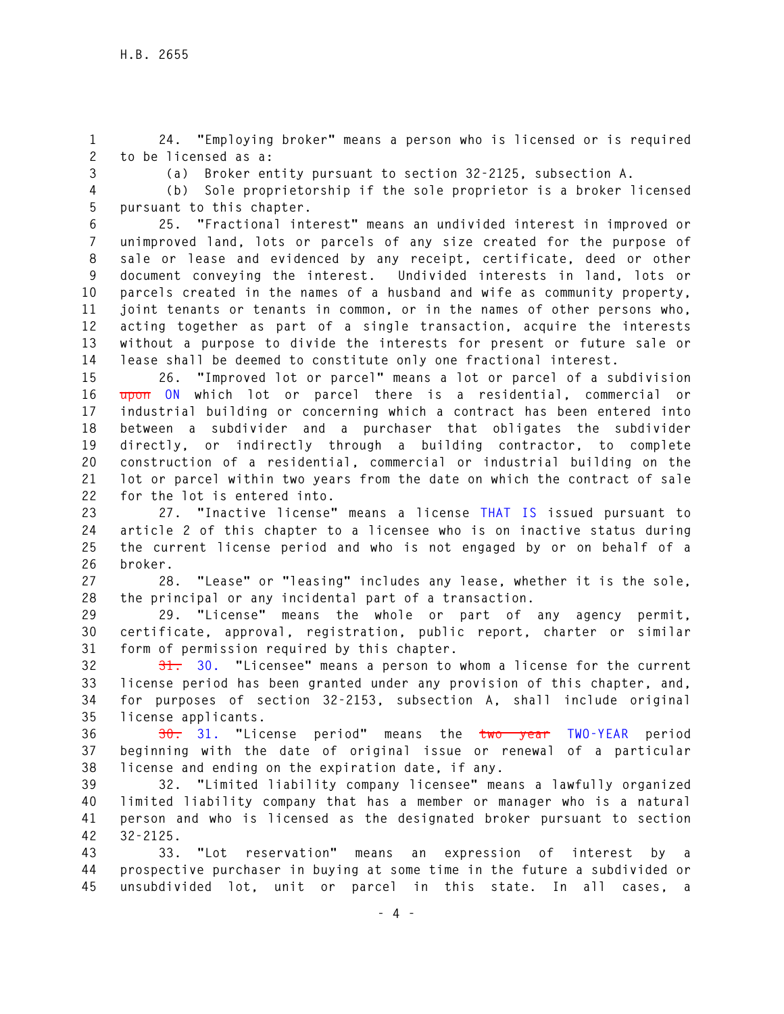**1 24. "Employing broker" means a person who is licensed or is required 2 to be licensed as a:** 

**3 (a) Broker entity pursuant to section 32-2125, subsection A.** 

**4 (b) Sole proprietorship if the sole proprietor is a broker licensed** 

**5 pursuant to this chapter. 6 25. "Fractional interest" means an undivided interest in improved or 7 unimproved land, lots or parcels of any size created for the purpose of 8 sale or lease and evidenced by any receipt, certificate, deed or other 9 document conveying the interest. Undivided interests in land, lots or 10 parcels created in the names of a husband and wife as community property, 11 joint tenants or tenants in common, or in the names of other persons who, 12 acting together as part of a single transaction, acquire the interests** 

**13 without a purpose to divide the interests for present or future sale or 14 lease shall be deemed to constitute only one fractional interest.** 

**15 26. "Improved lot or parcel" means a lot or parcel of a subdivision 16 upon ON which lot or parcel there is a residential, commercial or 17 industrial building or concerning which a contract has been entered into 18 between a subdivider and a purchaser that obligates the subdivider 19 directly, or indirectly through a building contractor, to complete 20 construction of a residential, commercial or industrial building on the 21 lot or parcel within two years from the date on which the contract of sale 22 for the lot is entered into.** 

**23 27. "Inactive license" means a license THAT IS issued pursuant to 24 article 2 of this chapter to a licensee who is on inactive status during 25 the current license period and who is not engaged by or on behalf of a 26 broker.** 

**27 28. "Lease" or "leasing" includes any lease, whether it is the sole, 28 the principal or any incidental part of a transaction.** 

**29 29. "License" means the whole or part of any agency permit, 30 certificate, approval, registration, public report, charter or similar 31 form of permission required by this chapter.** 

**32 31. 30. "Licensee" means a person to whom a license for the current 33 license period has been granted under any provision of this chapter, and, 34 for purposes of section 32-2153, subsection A, shall include original 35 license applicants.** 

**36 30. 31. "License period" means the two year TWO-YEAR period 37 beginning with the date of original issue or renewal of a particular 38 license and ending on the expiration date, if any.** 

**39 32. "Limited liability company licensee" means a lawfully organized 40 limited liability company that has a member or manager who is a natural 41 person and who is licensed as the designated broker pursuant to section 42 32-2125.** 

**43 33. "Lot reservation" means an expression of interest by a 44 prospective purchaser in buying at some time in the future a subdivided or 45 unsubdivided lot, unit or parcel in this state. In all cases, a**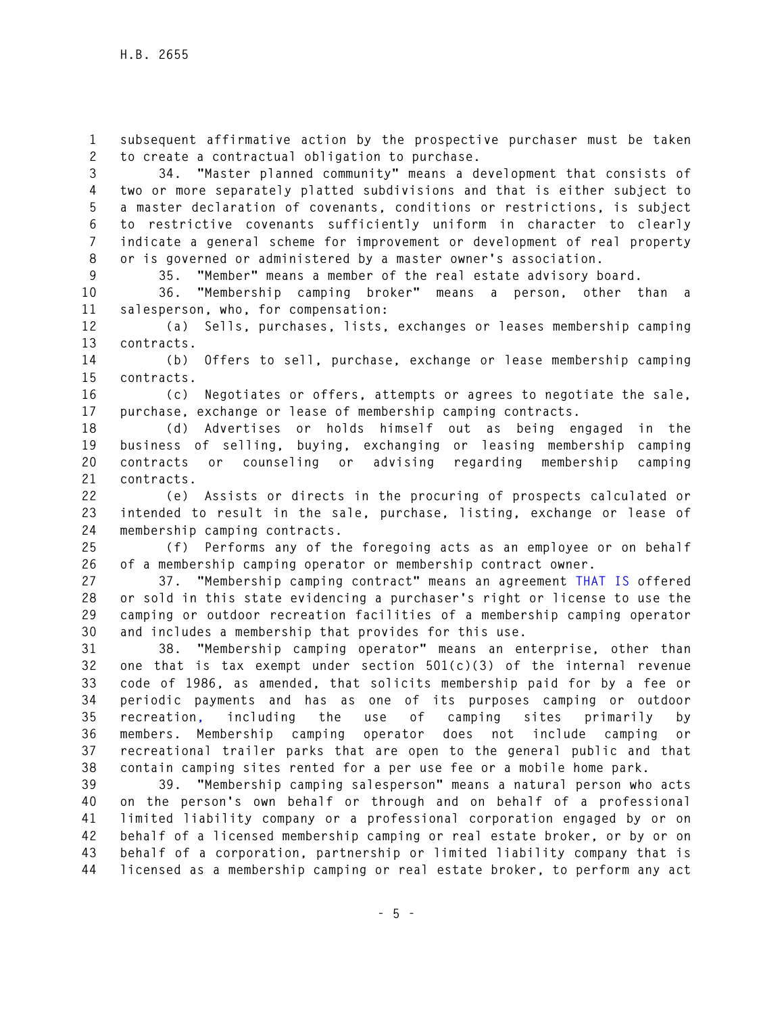**1 subsequent affirmative action by the prospective purchaser must be taken 2 to create a contractual obligation to purchase.** 

**3 34. "Master planned community" means a development that consists of 4 two or more separately platted subdivisions and that is either subject to 5 a master declaration of covenants, conditions or restrictions, is subject 6 to restrictive covenants sufficiently uniform in character to clearly 7 indicate a general scheme for improvement or development of real property 8 or is governed or administered by a master owner's association.** 

**9 35. "Member" means a member of the real estate advisory board.** 

**10 36. "Membership camping broker" means a person, other than a 11 salesperson, who, for compensation:** 

**12 (a) Sells, purchases, lists, exchanges or leases membership camping 13 contracts.** 

**14 (b) Offers to sell, purchase, exchange or lease membership camping 15 contracts.** 

**16 (c) Negotiates or offers, attempts or agrees to negotiate the sale, 17 purchase, exchange or lease of membership camping contracts.** 

**18 (d) Advertises or holds himself out as being engaged in the 19 business of selling, buying, exchanging or leasing membership camping 20 contracts or counseling or advising regarding membership camping 21 contracts.** 

**22 (e) Assists or directs in the procuring of prospects calculated or 23 intended to result in the sale, purchase, listing, exchange or lease of 24 membership camping contracts.** 

**25 (f) Performs any of the foregoing acts as an employee or on behalf 26 of a membership camping operator or membership contract owner.** 

**27 37. "Membership camping contract" means an agreement THAT IS offered 28 or sold in this state evidencing a purchaser's right or license to use the 29 camping or outdoor recreation facilities of a membership camping operator 30 and includes a membership that provides for this use.** 

**31 38. "Membership camping operator" means an enterprise, other than 32 one that is tax exempt under section 501(c)(3) of the internal revenue 33 code of 1986, as amended, that solicits membership paid for by a fee or 34 periodic payments and has as one of its purposes camping or outdoor 35 recreation, including the use of camping sites primarily by 36 members. Membership camping operator does not include camping or 37 recreational trailer parks that are open to the general public and that 38 contain camping sites rented for a per use fee or a mobile home park.** 

**39 39. "Membership camping salesperson" means a natural person who acts 40 on the person's own behalf or through and on behalf of a professional 41 limited liability company or a professional corporation engaged by or on 42 behalf of a licensed membership camping or real estate broker, or by or on 43 behalf of a corporation, partnership or limited liability company that is 44 licensed as a membership camping or real estate broker, to perform any act**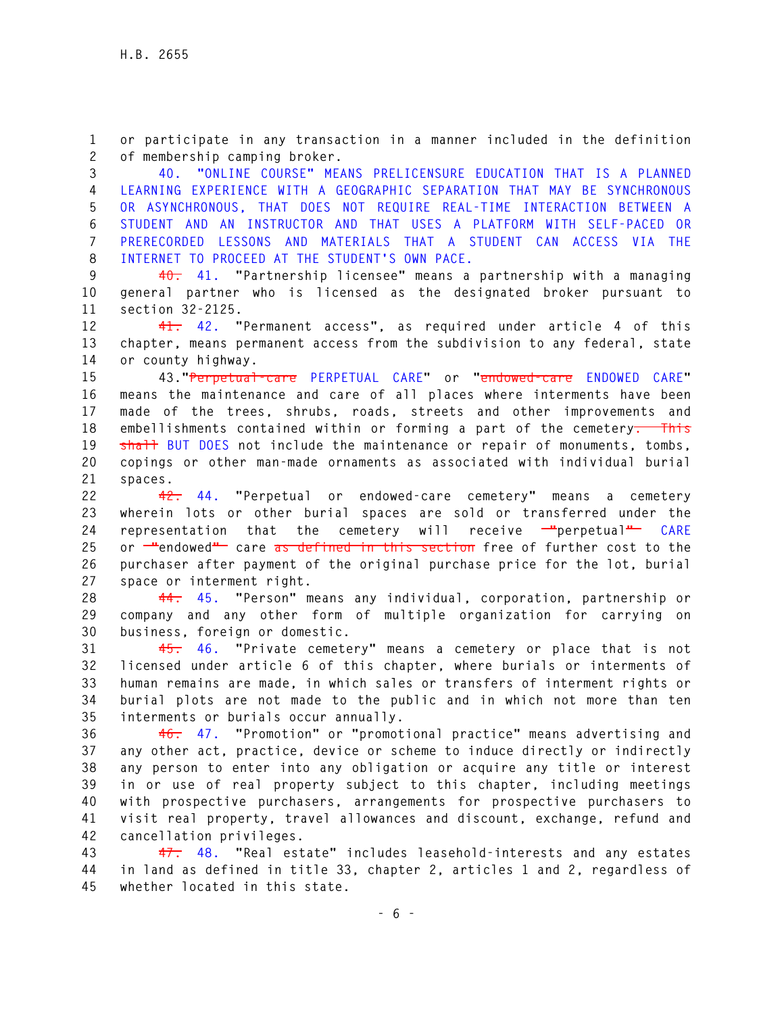**1 or participate in any transaction in a manner included in the definition 2 of membership camping broker.** 

**3 40. "ONLINE COURSE" MEANS PRELICENSURE EDUCATION THAT IS A PLANNED 4 LEARNING EXPERIENCE WITH A GEOGRAPHIC SEPARATION THAT MAY BE SYNCHRONOUS 5 OR ASYNCHRONOUS, THAT DOES NOT REQUIRE REAL-TIME INTERACTION BETWEEN A 6 STUDENT AND AN INSTRUCTOR AND THAT USES A PLATFORM WITH SELF-PACED OR 7 PRERECORDED LESSONS AND MATERIALS THAT A STUDENT CAN ACCESS VIA THE 8 INTERNET TO PROCEED AT THE STUDENT'S OWN PACE.** 

**9 40. 41. "Partnership licensee" means a partnership with a managing 10 general partner who is licensed as the designated broker pursuant to 11 section 32-2125.** 

**12 41. 42. "Permanent access", as required under article 4 of this 13 chapter, means permanent access from the subdivision to any federal, state 14 or county highway.** 

**15 43."Perpetual-care PERPETUAL CARE" or "endowed-care ENDOWED CARE" 16 means the maintenance and care of all places where interments have been 17 made of the trees, shrubs, roads, streets and other improvements and 18 embellishments contained within or forming a part of the cemetery. This**  19 shall BUT DOES not include the maintenance or repair of monuments, tombs, **20 copings or other man-made ornaments as associated with individual burial 21 spaces.** 

**22 42. 44. "Perpetual or endowed-care cemetery" means a cemetery 23 wherein lots or other burial spaces are sold or transferred under the 24 representation that the cemetery will receive "perpetual" CARE 25 or "endowed" care as defined in this section free of further cost to the 26 purchaser after payment of the original purchase price for the lot, burial 27 space or interment right.** 

**28 44. 45. "Person" means any individual, corporation, partnership or 29 company and any other form of multiple organization for carrying on 30 business, foreign or domestic.** 

**31 45. 46. "Private cemetery" means a cemetery or place that is not 32 licensed under article 6 of this chapter, where burials or interments of 33 human remains are made, in which sales or transfers of interment rights or 34 burial plots are not made to the public and in which not more than ten 35 interments or burials occur annually.** 

**36 46. 47. "Promotion" or "promotional practice" means advertising and 37 any other act, practice, device or scheme to induce directly or indirectly 38 any person to enter into any obligation or acquire any title or interest 39 in or use of real property subject to this chapter, including meetings 40 with prospective purchasers, arrangements for prospective purchasers to 41 visit real property, travel allowances and discount, exchange, refund and 42 cancellation privileges.** 

**43 47. 48. "Real estate" includes leasehold-interests and any estates 44 in land as defined in title 33, chapter 2, articles 1 and 2, regardless of 45 whether located in this state.**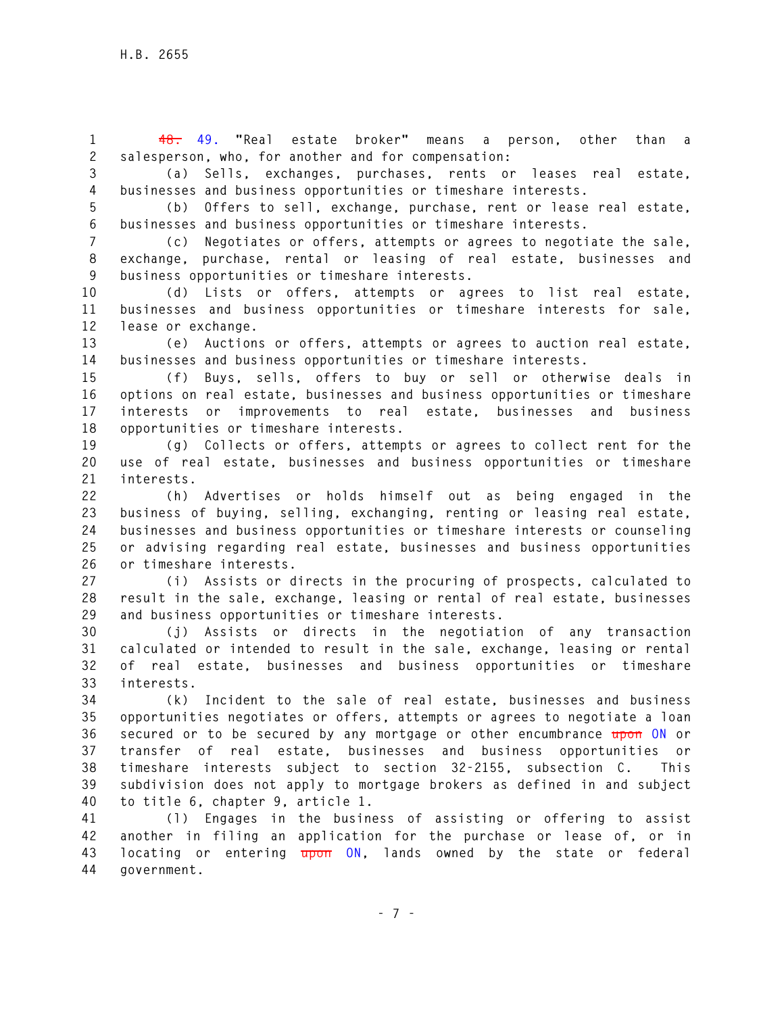**1 48. 49. "Real estate broker" means a person, other than a 2 salesperson, who, for another and for compensation:** 

**3 (a) Sells, exchanges, purchases, rents or leases real estate, 4 businesses and business opportunities or timeshare interests.** 

**5 (b) Offers to sell, exchange, purchase, rent or lease real estate, 6 businesses and business opportunities or timeshare interests.** 

**7 (c) Negotiates or offers, attempts or agrees to negotiate the sale, 8 exchange, purchase, rental or leasing of real estate, businesses and 9 business opportunities or timeshare interests.** 

**10 (d) Lists or offers, attempts or agrees to list real estate, 11 businesses and business opportunities or timeshare interests for sale, 12 lease or exchange.** 

**13 (e) Auctions or offers, attempts or agrees to auction real estate, 14 businesses and business opportunities or timeshare interests.** 

**15 (f) Buys, sells, offers to buy or sell or otherwise deals in 16 options on real estate, businesses and business opportunities or timeshare 17 interests or improvements to real estate, businesses and business 18 opportunities or timeshare interests.** 

**19 (g) Collects or offers, attempts or agrees to collect rent for the 20 use of real estate, businesses and business opportunities or timeshare 21 interests.** 

**22 (h) Advertises or holds himself out as being engaged in the 23 business of buying, selling, exchanging, renting or leasing real estate, 24 businesses and business opportunities or timeshare interests or counseling 25 or advising regarding real estate, businesses and business opportunities 26 or timeshare interests.** 

**27 (i) Assists or directs in the procuring of prospects, calculated to 28 result in the sale, exchange, leasing or rental of real estate, businesses 29 and business opportunities or timeshare interests.** 

**30 (j) Assists or directs in the negotiation of any transaction 31 calculated or intended to result in the sale, exchange, leasing or rental 32 of real estate, businesses and business opportunities or timeshare 33 interests.** 

**34 (k) Incident to the sale of real estate, businesses and business 35 opportunities negotiates or offers, attempts or agrees to negotiate a loan 36 secured or to be secured by any mortgage or other encumbrance upon ON or 37 transfer of real estate, businesses and business opportunities or 38 timeshare interests subject to section 32-2155, subsection C. This 39 subdivision does not apply to mortgage brokers as defined in and subject 40 to title 6, chapter 9, article 1.** 

**41 (l) Engages in the business of assisting or offering to assist 42 another in filing an application for the purchase or lease of, or in 43 locating or entering upon ON, lands owned by the state or federal 44 government.**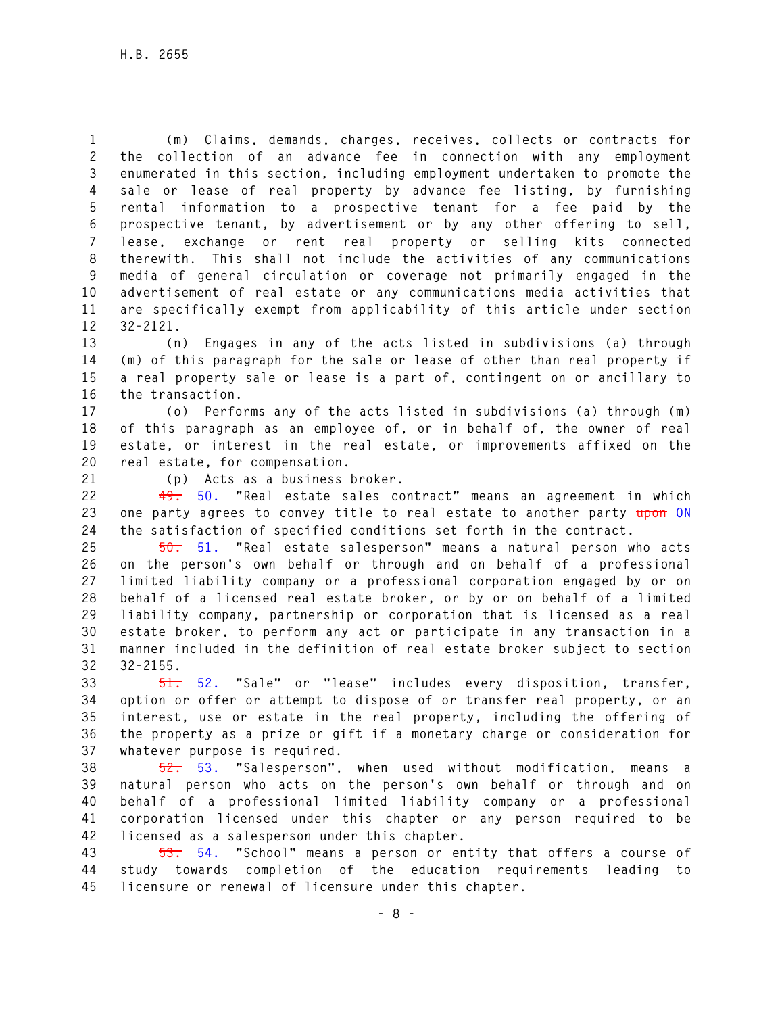**1 (m) Claims, demands, charges, receives, collects or contracts for 2 the collection of an advance fee in connection with any employment 3 enumerated in this section, including employment undertaken to promote the 4 sale or lease of real property by advance fee listing, by furnishing 5 rental information to a prospective tenant for a fee paid by the 6 prospective tenant, by advertisement or by any other offering to sell, 7 lease, exchange or rent real property or selling kits connected 8 therewith. This shall not include the activities of any communications 9 media of general circulation or coverage not primarily engaged in the 10 advertisement of real estate or any communications media activities that 11 are specifically exempt from applicability of this article under section 12 32-2121.** 

**13 (n) Engages in any of the acts listed in subdivisions (a) through 14 (m) of this paragraph for the sale or lease of other than real property if 15 a real property sale or lease is a part of, contingent on or ancillary to 16 the transaction.** 

**17 (o) Performs any of the acts listed in subdivisions (a) through (m) 18 of this paragraph as an employee of, or in behalf of, the owner of real 19 estate, or interest in the real estate, or improvements affixed on the 20 real estate, for compensation.** 

**21 (p) Acts as a business broker.** 

**22 49. 50. "Real estate sales contract" means an agreement in which 23 one party agrees to convey title to real estate to another party upon ON 24 the satisfaction of specified conditions set forth in the contract.** 

**25 50. 51. "Real estate salesperson" means a natural person who acts 26 on the person's own behalf or through and on behalf of a professional 27 limited liability company or a professional corporation engaged by or on 28 behalf of a licensed real estate broker, or by or on behalf of a limited 29 liability company, partnership or corporation that is licensed as a real 30 estate broker, to perform any act or participate in any transaction in a 31 manner included in the definition of real estate broker subject to section 32 32-2155.** 

**33 51. 52. "Sale" or "lease" includes every disposition, transfer, 34 option or offer or attempt to dispose of or transfer real property, or an 35 interest, use or estate in the real property, including the offering of 36 the property as a prize or gift if a monetary charge or consideration for 37 whatever purpose is required.** 

**38 52. 53. "Salesperson", when used without modification, means a 39 natural person who acts on the person's own behalf or through and on 40 behalf of a professional limited liability company or a professional 41 corporation licensed under this chapter or any person required to be 42 licensed as a salesperson under this chapter.** 

**43 53. 54. "School" means a person or entity that offers a course of 44 study towards completion of the education requirements leading to 45 licensure or renewal of licensure under this chapter.**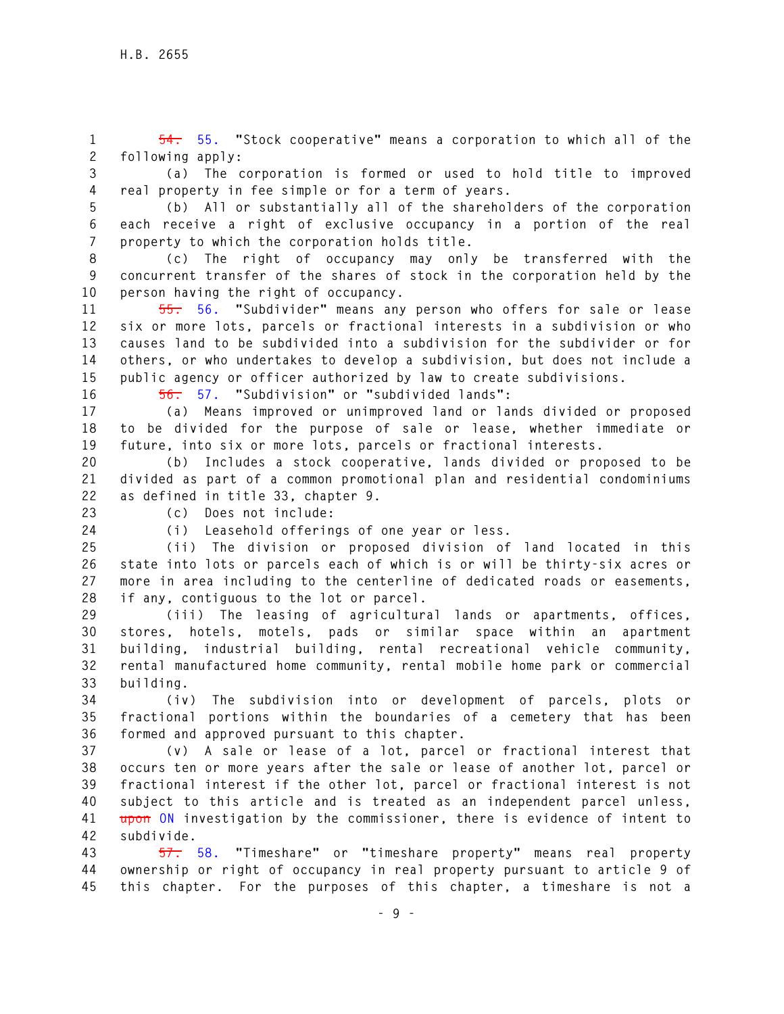**1 54. 55. "Stock cooperative" means a corporation to which all of the 2 following apply:** 

**3 (a) The corporation is formed or used to hold title to improved 4 real property in fee simple or for a term of years.** 

**5 (b) All or substantially all of the shareholders of the corporation 6 each receive a right of exclusive occupancy in a portion of the real 7 property to which the corporation holds title.** 

**8 (c) The right of occupancy may only be transferred with the 9 concurrent transfer of the shares of stock in the corporation held by the 10 person having the right of occupancy.** 

**11 55. 56. "Subdivider" means any person who offers for sale or lease 12 six or more lots, parcels or fractional interests in a subdivision or who 13 causes land to be subdivided into a subdivision for the subdivider or for 14 others, or who undertakes to develop a subdivision, but does not include a 15 public agency or officer authorized by law to create subdivisions.** 

**16 56. 57. "Subdivision" or "subdivided lands":** 

**17 (a) Means improved or unimproved land or lands divided or proposed 18 to be divided for the purpose of sale or lease, whether immediate or 19 future, into six or more lots, parcels or fractional interests.** 

**20 (b) Includes a stock cooperative, lands divided or proposed to be 21 divided as part of a common promotional plan and residential condominiums 22 as defined in title 33, chapter 9.** 

**23 (c) Does not include:** 

**24 (i) Leasehold offerings of one year or less.** 

**25 (ii) The division or proposed division of land located in this 26 state into lots or parcels each of which is or will be thirty-six acres or 27 more in area including to the centerline of dedicated roads or easements, 28 if any, contiguous to the lot or parcel.** 

**29 (iii) The leasing of agricultural lands or apartments, offices, 30 stores, hotels, motels, pads or similar space within an apartment 31 building, industrial building, rental recreational vehicle community, 32 rental manufactured home community, rental mobile home park or commercial 33 building.** 

**34 (iv) The subdivision into or development of parcels, plots or 35 fractional portions within the boundaries of a cemetery that has been 36 formed and approved pursuant to this chapter.** 

**37 (v) A sale or lease of a lot, parcel or fractional interest that 38 occurs ten or more years after the sale or lease of another lot, parcel or 39 fractional interest if the other lot, parcel or fractional interest is not 40 subject to this article and is treated as an independent parcel unless, 41 upon ON investigation by the commissioner, there is evidence of intent to 42 subdivide.** 

**43 57. 58. "Timeshare" or "timeshare property" means real property 44 ownership or right of occupancy in real property pursuant to article 9 of 45 this chapter. For the purposes of this chapter, a timeshare is not a**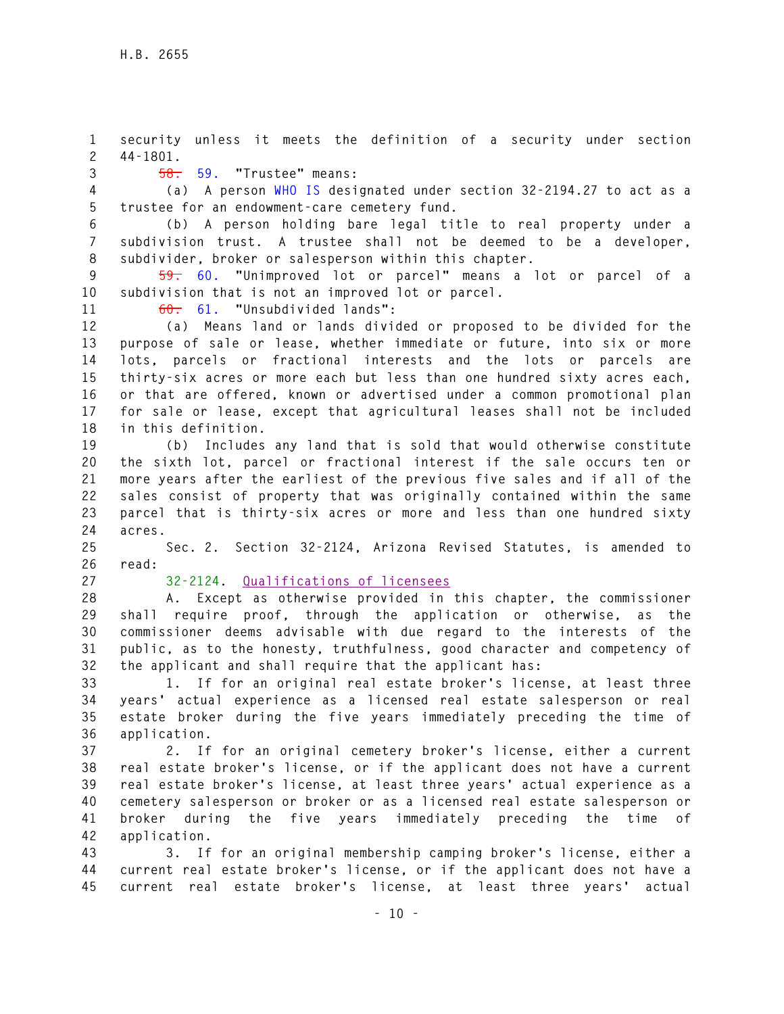**1 security unless it meets the definition of a security under section 2 44-1801.** 

**3 58. 59. "Trustee" means:** 

**4 (a) A person WHO IS designated under section 32-2194.27 to act as a 5 trustee for an endowment-care cemetery fund.** 

**6 (b) A person holding bare legal title to real property under a 7 subdivision trust. A trustee shall not be deemed to be a developer, 8 subdivider, broker or salesperson within this chapter.** 

**9 59. 60. "Unimproved lot or parcel" means a lot or parcel of a 10 subdivision that is not an improved lot or parcel.** 

**11 60. 61. "Unsubdivided lands":** 

**12 (a) Means land or lands divided or proposed to be divided for the 13 purpose of sale or lease, whether immediate or future, into six or more 14 lots, parcels or fractional interests and the lots or parcels are 15 thirty-six acres or more each but less than one hundred sixty acres each, 16 or that are offered, known or advertised under a common promotional plan 17 for sale or lease, except that agricultural leases shall not be included 18 in this definition.** 

**19 (b) Includes any land that is sold that would otherwise constitute 20 the sixth lot, parcel or fractional interest if the sale occurs ten or 21 more years after the earliest of the previous five sales and if all of the 22 sales consist of property that was originally contained within the same 23 parcel that is thirty-six acres or more and less than one hundred sixty 24 acres.** 

**25 Sec. 2. Section 32-2124, Arizona Revised Statutes, is amended to 26 read:** 

## **27 32-2124. Qualifications of licensees**

**28 A. Except as otherwise provided in this chapter, the commissioner 29 shall require proof, through the application or otherwise, as the 30 commissioner deems advisable with due regard to the interests of the 31 public, as to the honesty, truthfulness, good character and competency of 32 the applicant and shall require that the applicant has:** 

**33 1. If for an original real estate broker's license, at least three 34 years' actual experience as a licensed real estate salesperson or real 35 estate broker during the five years immediately preceding the time of 36 application.** 

**37 2. If for an original cemetery broker's license, either a current 38 real estate broker's license, or if the applicant does not have a current 39 real estate broker's license, at least three years' actual experience as a 40 cemetery salesperson or broker or as a licensed real estate salesperson or 41 broker during the five years immediately preceding the time of 42 application.** 

**43 3. If for an original membership camping broker's license, either a 44 current real estate broker's license, or if the applicant does not have a 45 current real estate broker's license, at least three years' actual**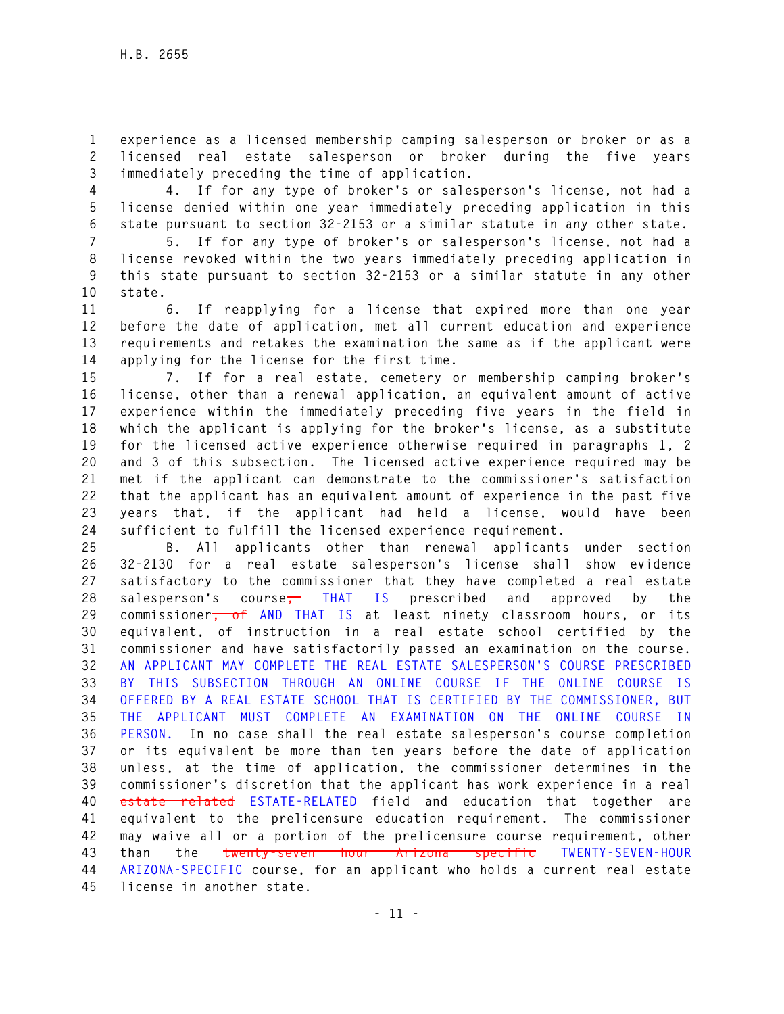**1 experience as a licensed membership camping salesperson or broker or as a 2 licensed real estate salesperson or broker during the five years 3 immediately preceding the time of application.** 

**4 4. If for any type of broker's or salesperson's license, not had a 5 license denied within one year immediately preceding application in this 6 state pursuant to section 32-2153 or a similar statute in any other state.** 

**7 5. If for any type of broker's or salesperson's license, not had a 8 license revoked within the two years immediately preceding application in 9 this state pursuant to section 32-2153 or a similar statute in any other 10 state.** 

**11 6. If reapplying for a license that expired more than one year 12 before the date of application, met all current education and experience 13 requirements and retakes the examination the same as if the applicant were 14 applying for the license for the first time.** 

**15 7. If for a real estate, cemetery or membership camping broker's 16 license, other than a renewal application, an equivalent amount of active 17 experience within the immediately preceding five years in the field in 18 which the applicant is applying for the broker's license, as a substitute 19 for the licensed active experience otherwise required in paragraphs 1, 2 20 and 3 of this subsection. The licensed active experience required may be 21 met if the applicant can demonstrate to the commissioner's satisfaction 22 that the applicant has an equivalent amount of experience in the past five 23 years that, if the applicant had held a license, would have been 24 sufficient to fulfill the licensed experience requirement.** 

**25 B. All applicants other than renewal applicants under section 26 32-2130 for a real estate salesperson's license shall show evidence 27 satisfactory to the commissioner that they have completed a real estate 28 salesperson's course, THAT IS prescribed and approved by the 29 commissioner, of AND THAT IS at least ninety classroom hours, or its 30 equivalent, of instruction in a real estate school certified by the 31 commissioner and have satisfactorily passed an examination on the course. 32 AN APPLICANT MAY COMPLETE THE REAL ESTATE SALESPERSON'S COURSE PRESCRIBED 33 BY THIS SUBSECTION THROUGH AN ONLINE COURSE IF THE ONLINE COURSE IS 34 OFFERED BY A REAL ESTATE SCHOOL THAT IS CERTIFIED BY THE COMMISSIONER, BUT 35 THE APPLICANT MUST COMPLETE AN EXAMINATION ON THE ONLINE COURSE IN 36 PERSON. In no case shall the real estate salesperson's course completion 37 or its equivalent be more than ten years before the date of application 38 unless, at the time of application, the commissioner determines in the 39 commissioner's discretion that the applicant has work experience in a real 40 estate related ESTATE-RELATED field and education that together are 41 equivalent to the prelicensure education requirement. The commissioner 42 may waive all or a portion of the prelicensure course requirement, other 43 than the twenty-seven hour Arizona specific TWENTY-SEVEN-HOUR 44 ARIZONA-SPECIFIC course, for an applicant who holds a current real estate 45 license in another state.**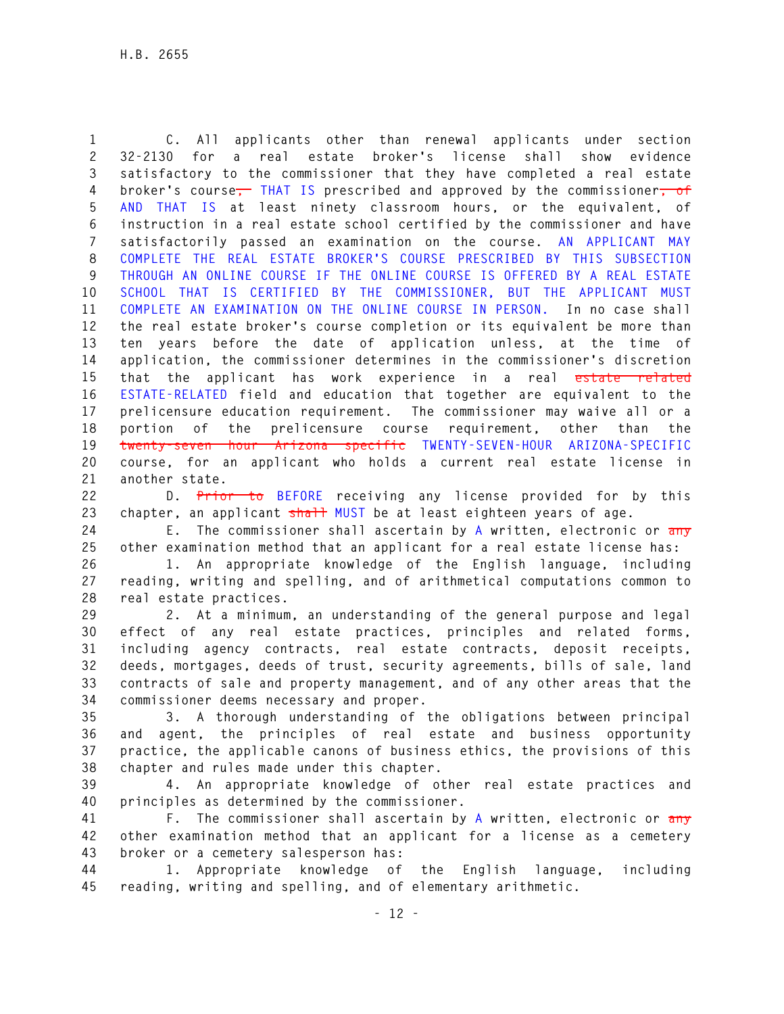**1 C. All applicants other than renewal applicants under section 2 32-2130 for a real estate broker's license shall show evidence 3 satisfactory to the commissioner that they have completed a real estate 4 broker's course, THAT IS prescribed and approved by the commissioner, of 5 AND THAT IS at least ninety classroom hours, or the equivalent, of 6 instruction in a real estate school certified by the commissioner and have 7 satisfactorily passed an examination on the course. AN APPLICANT MAY 8 COMPLETE THE REAL ESTATE BROKER'S COURSE PRESCRIBED BY THIS SUBSECTION 9 THROUGH AN ONLINE COURSE IF THE ONLINE COURSE IS OFFERED BY A REAL ESTATE 10 SCHOOL THAT IS CERTIFIED BY THE COMMISSIONER, BUT THE APPLICANT MUST 11 COMPLETE AN EXAMINATION ON THE ONLINE COURSE IN PERSON. In no case shall 12 the real estate broker's course completion or its equivalent be more than 13 ten years before the date of application unless, at the time of 14 application, the commissioner determines in the commissioner's discretion 15 that the applicant has work experience in a real estate related 16 ESTATE-RELATED field and education that together are equivalent to the 17 prelicensure education requirement. The commissioner may waive all or a 18 portion of the prelicensure course requirement, other than the 19 twenty-seven hour Arizona specific TWENTY-SEVEN-HOUR ARIZONA-SPECIFIC 20 course, for an applicant who holds a current real estate license in 21 another state.** 

**22 D. Prior to BEFORE receiving any license provided for by this 23 chapter, an applicant shall MUST be at least eighteen years of age.** 

**24 E. The commissioner shall ascertain by A written, electronic or any 25 other examination method that an applicant for a real estate license has:** 

**26 1. An appropriate knowledge of the English language, including 27 reading, writing and spelling, and of arithmetical computations common to 28 real estate practices.** 

**29 2. At a minimum, an understanding of the general purpose and legal 30 effect of any real estate practices, principles and related forms, 31 including agency contracts, real estate contracts, deposit receipts, 32 deeds, mortgages, deeds of trust, security agreements, bills of sale, land 33 contracts of sale and property management, and of any other areas that the 34 commissioner deems necessary and proper.** 

**35 3. A thorough understanding of the obligations between principal 36 and agent, the principles of real estate and business opportunity 37 practice, the applicable canons of business ethics, the provisions of this 38 chapter and rules made under this chapter.** 

**39 4. An appropriate knowledge of other real estate practices and 40 principles as determined by the commissioner.** 

**41 F. The commissioner shall ascertain by A written, electronic or any 42 other examination method that an applicant for a license as a cemetery 43 broker or a cemetery salesperson has:** 

**44 1. Appropriate knowledge of the English language, including 45 reading, writing and spelling, and of elementary arithmetic.**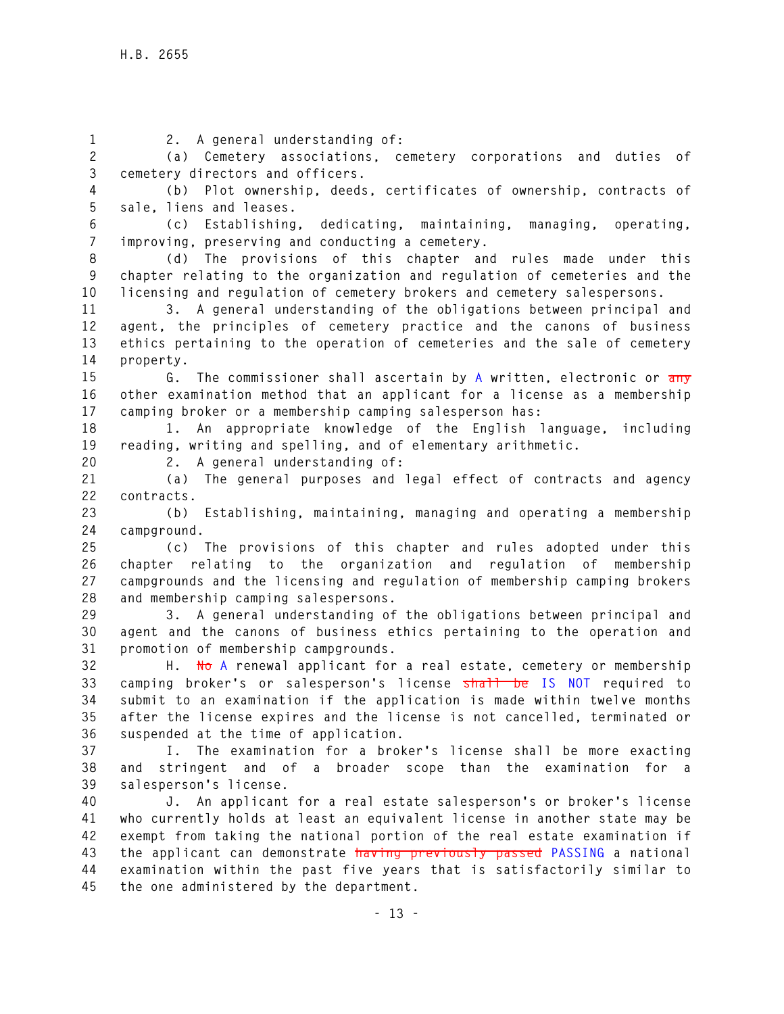**- 13 - 1 2. A general understanding of: 2 (a) Cemetery associations, cemetery corporations and duties of 3 cemetery directors and officers. 4 (b) Plot ownership, deeds, certificates of ownership, contracts of 5 sale, liens and leases. 6 (c) Establishing, dedicating, maintaining, managing, operating, 7 improving, preserving and conducting a cemetery. 8 (d) The provisions of this chapter and rules made under this 9 chapter relating to the organization and regulation of cemeteries and the 10 licensing and regulation of cemetery brokers and cemetery salespersons. 11 3. A general understanding of the obligations between principal and 12 agent, the principles of cemetery practice and the canons of business 13 ethics pertaining to the operation of cemeteries and the sale of cemetery 14 property. 15 G. The commissioner shall ascertain by A written, electronic or any 16 other examination method that an applicant for a license as a membership 17 camping broker or a membership camping salesperson has: 18 1. An appropriate knowledge of the English language, including 19 reading, writing and spelling, and of elementary arithmetic. 20 2. A general understanding of: 21 (a) The general purposes and legal effect of contracts and agency 22 contracts. 23 (b) Establishing, maintaining, managing and operating a membership 24 campground. 25 (c) The provisions of this chapter and rules adopted under this 26 chapter relating to the organization and regulation of membership 27 campgrounds and the licensing and regulation of membership camping brokers 28 and membership camping salespersons. 29 3. A general understanding of the obligations between principal and 30 agent and the canons of business ethics pertaining to the operation and 31 promotion of membership campgrounds. 32 H. No A renewal applicant for a real estate, cemetery or membership 33 camping broker's or salesperson's license shall be IS NOT required to 34 submit to an examination if the application is made within twelve months 35 after the license expires and the license is not cancelled, terminated or 36 suspended at the time of application. 37 I. The examination for a broker's license shall be more exacting 38 and stringent and of a broader scope than the examination for a 39 salesperson's license. 40 J. An applicant for a real estate salesperson's or broker's license 41 who currently holds at least an equivalent license in another state may be 42 exempt from taking the national portion of the real estate examination if 43 the applicant can demonstrate having previously passed PASSING a national 44 examination within the past five years that is satisfactorily similar to 45 the one administered by the department.**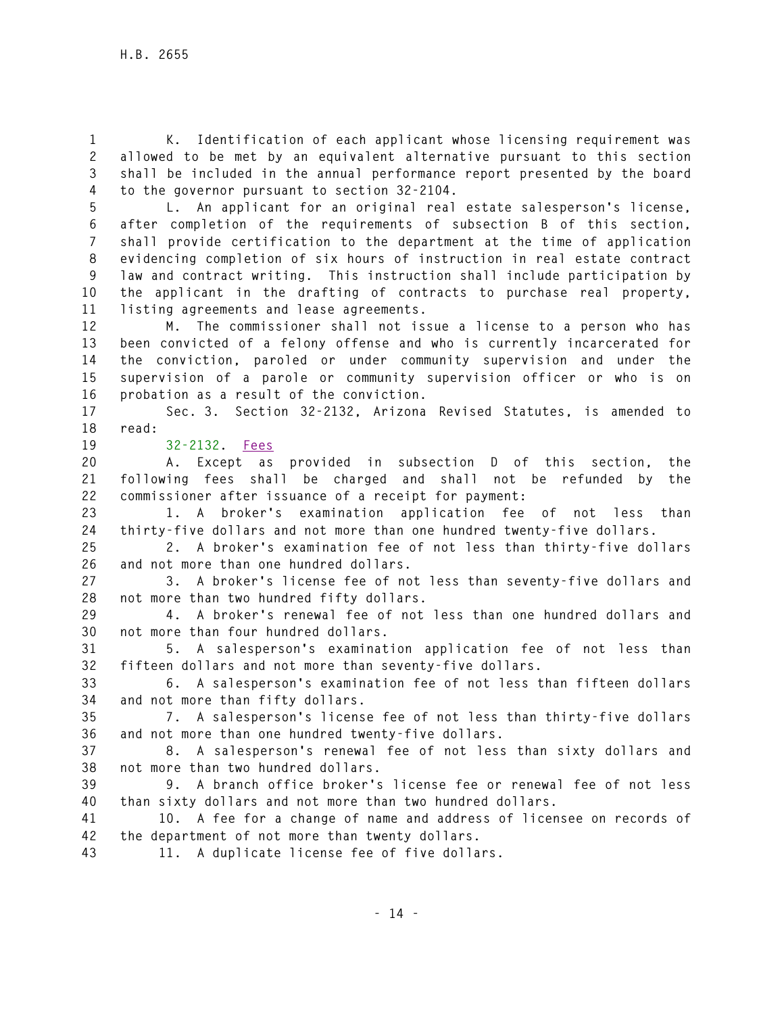**1 K. Identification of each applicant whose licensing requirement was 2 allowed to be met by an equivalent alternative pursuant to this section 3 shall be included in the annual performance report presented by the board 4 to the governor pursuant to section 32-2104.** 

**5 L. An applicant for an original real estate salesperson's license, 6 after completion of the requirements of subsection B of this section, 7 shall provide certification to the department at the time of application 8 evidencing completion of six hours of instruction in real estate contract 9 law and contract writing. This instruction shall include participation by 10 the applicant in the drafting of contracts to purchase real property, 11 listing agreements and lease agreements.** 

**12 M. The commissioner shall not issue a license to a person who has 13 been convicted of a felony offense and who is currently incarcerated for 14 the conviction, paroled or under community supervision and under the 15 supervision of a parole or community supervision officer or who is on 16 probation as a result of the conviction.** 

**17 Sec. 3. Section 32-2132, Arizona Revised Statutes, is amended to 18 read:** 

**19 32-2132. Fees**

**20 A. Except as provided in subsection D of this section, the 21 following fees shall be charged and shall not be refunded by the 22 commissioner after issuance of a receipt for payment:** 

**23 1. A broker's examination application fee of not less than 24 thirty-five dollars and not more than one hundred twenty-five dollars.** 

**25 2. A broker's examination fee of not less than thirty-five dollars 26 and not more than one hundred dollars.** 

**27 3. A broker's license fee of not less than seventy-five dollars and 28 not more than two hundred fifty dollars.** 

**29 4. A broker's renewal fee of not less than one hundred dollars and 30 not more than four hundred dollars.** 

**31 5. A salesperson's examination application fee of not less than 32 fifteen dollars and not more than seventy-five dollars.** 

**33 6. A salesperson's examination fee of not less than fifteen dollars 34 and not more than fifty dollars.** 

**35 7. A salesperson's license fee of not less than thirty-five dollars 36 and not more than one hundred twenty-five dollars.** 

**37 8. A salesperson's renewal fee of not less than sixty dollars and 38 not more than two hundred dollars.** 

**39 9. A branch office broker's license fee or renewal fee of not less 40 than sixty dollars and not more than two hundred dollars.** 

**41 10. A fee for a change of name and address of licensee on records of 42 the department of not more than twenty dollars.** 

**43 11. A duplicate license fee of five dollars.**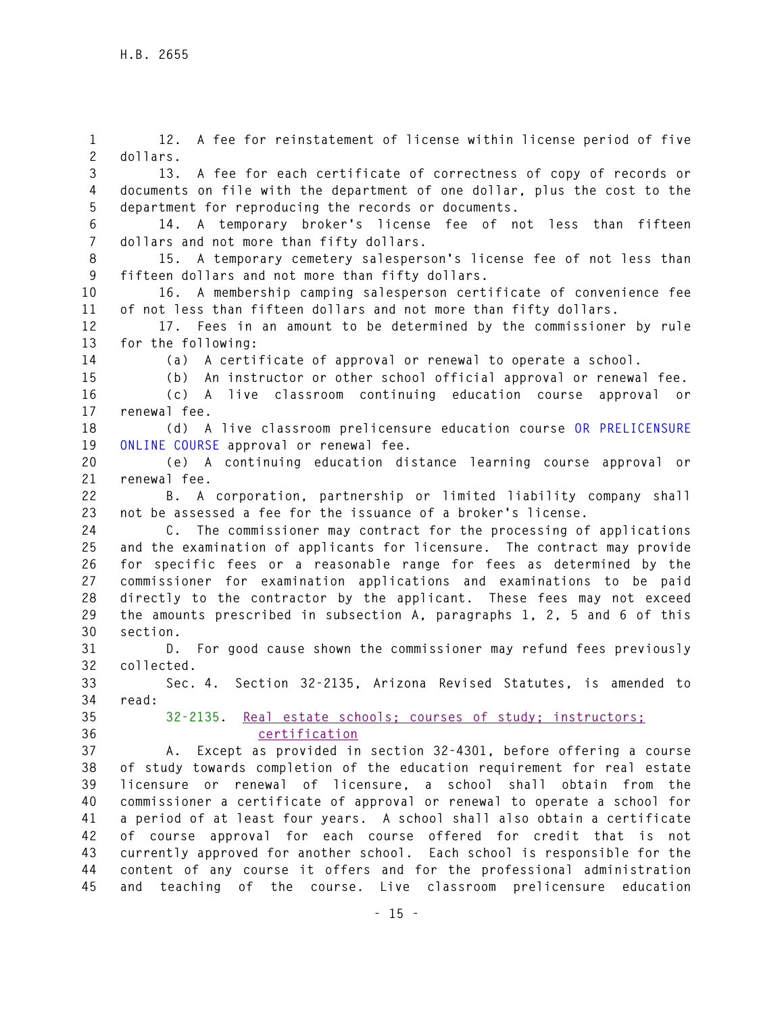**1 12. A fee for reinstatement of license within license period of five 2 dollars. 3 13. A fee for each certificate of correctness of copy of records or 4 documents on file with the department of one dollar, plus the cost to the 5 department for reproducing the records or documents. 6 14. A temporary broker's license fee of not less than fifteen 7 dollars and not more than fifty dollars. 8 15. A temporary cemetery salesperson's license fee of not less than 9 fifteen dollars and not more than fifty dollars. 10 16. A membership camping salesperson certificate of convenience fee 11 of not less than fifteen dollars and not more than fifty dollars. 12 17. Fees in an amount to be determined by the commissioner by rule 13 for the following: 14 (a) A certificate of approval or renewal to operate a school. 15 (b) An instructor or other school official approval or renewal fee. 16 (c) A live classroom continuing education course approval or 17 renewal fee. 18 (d) A live classroom prelicensure education course OR PRELICENSURE 19 ONLINE COURSE approval or renewal fee. 20 (e) A continuing education distance learning course approval or 21 renewal fee. 22 B. A corporation, partnership or limited liability company shall 23 not be assessed a fee for the issuance of a broker's license. 24 C. The commissioner may contract for the processing of applications 25 and the examination of applicants for licensure. The contract may provide 26 for specific fees or a reasonable range for fees as determined by the 27 commissioner for examination applications and examinations to be paid 28 directly to the contractor by the applicant. These fees may not exceed 29 the amounts prescribed in subsection A, paragraphs 1, 2, 5 and 6 of this 30 section. 31 D. For good cause shown the commissioner may refund fees previously 32 collected. 33 Sec. 4. Section 32-2135, Arizona Revised Statutes, is amended to 34 read: 35 32-2135. Real estate schools; courses of study; instructors; 36 certification 37 A. Except as provided in section 32-4301, before offering a course 38 of study towards completion of the education requirement for real estate 39 licensure or renewal of licensure, a school shall obtain from the 40 commissioner a certificate of approval or renewal to operate a school for 41 a period of at least four years. A school shall also obtain a certificate 42 of course approval for each course offered for credit that is not 43 currently approved for another school. Each school is responsible for the 44 content of any course it offers and for the professional administration 45 and teaching of the course. Live classroom prelicensure education**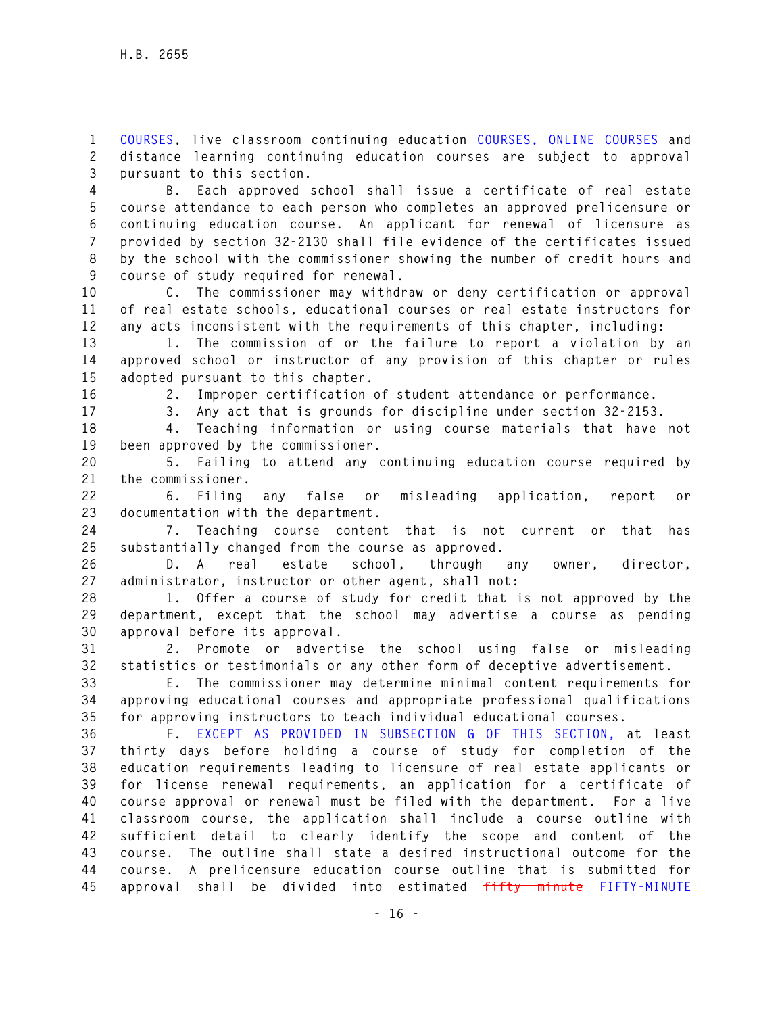**1 COURSES, live classroom continuing education COURSES, ONLINE COURSES and 2 distance learning continuing education courses are subject to approval 3 pursuant to this section.** 

**4 B. Each approved school shall issue a certificate of real estate 5 course attendance to each person who completes an approved prelicensure or 6 continuing education course. An applicant for renewal of licensure as 7 provided by section 32-2130 shall file evidence of the certificates issued 8 by the school with the commissioner showing the number of credit hours and 9 course of study required for renewal.** 

**10 C. The commissioner may withdraw or deny certification or approval 11 of real estate schools, educational courses or real estate instructors for 12 any acts inconsistent with the requirements of this chapter, including:** 

**13 1. The commission of or the failure to report a violation by an 14 approved school or instructor of any provision of this chapter or rules 15 adopted pursuant to this chapter.** 

**16 2. Improper certification of student attendance or performance.** 

**17 3. Any act that is grounds for discipline under section 32-2153. 18 4. Teaching information or using course materials that have not 19 been approved by the commissioner.** 

**20 5. Failing to attend any continuing education course required by 21 the commissioner.** 

**22 6. Filing any false or misleading application, report or 23 documentation with the department.** 

**24 7. Teaching course content that is not current or that has 25 substantially changed from the course as approved.** 

**26 D. A real estate school, through any owner, director, 27 administrator, instructor or other agent, shall not:** 

**28 1. Offer a course of study for credit that is not approved by the 29 department, except that the school may advertise a course as pending 30 approval before its approval.** 

**31 2. Promote or advertise the school using false or misleading 32 statistics or testimonials or any other form of deceptive advertisement.** 

**33 E. The commissioner may determine minimal content requirements for 34 approving educational courses and appropriate professional qualifications 35 for approving instructors to teach individual educational courses.** 

**36 F. EXCEPT AS PROVIDED IN SUBSECTION G OF THIS SECTION, at least 37 thirty days before holding a course of study for completion of the 38 education requirements leading to licensure of real estate applicants or 39 for license renewal requirements, an application for a certificate of 40 course approval or renewal must be filed with the department. For a live 41 classroom course, the application shall include a course outline with 42 sufficient detail to clearly identify the scope and content of the 43 course. The outline shall state a desired instructional outcome for the 44 course. A prelicensure education course outline that is submitted for 45 approval shall be divided into estimated fifty minute FIFTY-MINUTE**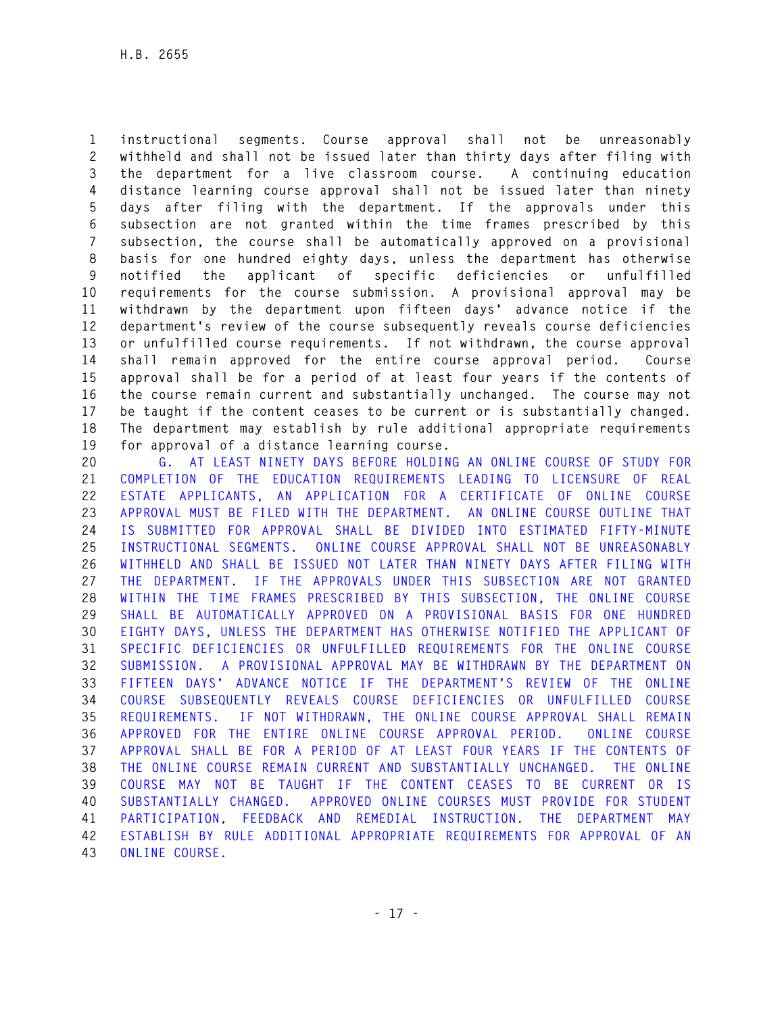**1 instructional segments. Course approval shall not be unreasonably 2 withheld and shall not be issued later than thirty days after filing with 3 the department for a live classroom course. A continuing education 4 distance learning course approval shall not be issued later than ninety 5 days after filing with the department. If the approvals under this 6 subsection are not granted within the time frames prescribed by this 7 subsection, the course shall be automatically approved on a provisional 8 basis for one hundred eighty days, unless the department has otherwise 9 notified the applicant of specific deficiencies or unfulfilled 10 requirements for the course submission. A provisional approval may be 11 withdrawn by the department upon fifteen days' advance notice if the 12 department's review of the course subsequently reveals course deficiencies 13 or unfulfilled course requirements. If not withdrawn, the course approval 14 shall remain approved for the entire course approval period. Course 15 approval shall be for a period of at least four years if the contents of 16 the course remain current and substantially unchanged. The course may not 17 be taught if the content ceases to be current or is substantially changed. 18 The department may establish by rule additional appropriate requirements 19 for approval of a distance learning course.** 

**20 G. AT LEAST NINETY DAYS BEFORE HOLDING AN ONLINE COURSE OF STUDY FOR 21 COMPLETION OF THE EDUCATION REQUIREMENTS LEADING TO LICENSURE OF REAL 22 ESTATE APPLICANTS, AN APPLICATION FOR A CERTIFICATE OF ONLINE COURSE 23 APPROVAL MUST BE FILED WITH THE DEPARTMENT. AN ONLINE COURSE OUTLINE THAT 24 IS SUBMITTED FOR APPROVAL SHALL BE DIVIDED INTO ESTIMATED FIFTY-MINUTE 25 INSTRUCTIONAL SEGMENTS. ONLINE COURSE APPROVAL SHALL NOT BE UNREASONABLY 26 WITHHELD AND SHALL BE ISSUED NOT LATER THAN NINETY DAYS AFTER FILING WITH 27 THE DEPARTMENT. IF THE APPROVALS UNDER THIS SUBSECTION ARE NOT GRANTED 28 WITHIN THE TIME FRAMES PRESCRIBED BY THIS SUBSECTION, THE ONLINE COURSE 29 SHALL BE AUTOMATICALLY APPROVED ON A PROVISIONAL BASIS FOR ONE HUNDRED 30 EIGHTY DAYS, UNLESS THE DEPARTMENT HAS OTHERWISE NOTIFIED THE APPLICANT OF 31 SPECIFIC DEFICIENCIES OR UNFULFILLED REQUIREMENTS FOR THE ONLINE COURSE 32 SUBMISSION. A PROVISIONAL APPROVAL MAY BE WITHDRAWN BY THE DEPARTMENT ON 33 FIFTEEN DAYS' ADVANCE NOTICE IF THE DEPARTMENT'S REVIEW OF THE ONLINE 34 COURSE SUBSEQUENTLY REVEALS COURSE DEFICIENCIES OR UNFULFILLED COURSE 35 REQUIREMENTS. IF NOT WITHDRAWN, THE ONLINE COURSE APPROVAL SHALL REMAIN 36 APPROVED FOR THE ENTIRE ONLINE COURSE APPROVAL PERIOD. ONLINE COURSE 37 APPROVAL SHALL BE FOR A PERIOD OF AT LEAST FOUR YEARS IF THE CONTENTS OF 38 THE ONLINE COURSE REMAIN CURRENT AND SUBSTANTIALLY UNCHANGED. THE ONLINE 39 COURSE MAY NOT BE TAUGHT IF THE CONTENT CEASES TO BE CURRENT OR IS 40 SUBSTANTIALLY CHANGED. APPROVED ONLINE COURSES MUST PROVIDE FOR STUDENT 41 PARTICIPATION, FEEDBACK AND REMEDIAL INSTRUCTION. THE DEPARTMENT MAY 42 ESTABLISH BY RULE ADDITIONAL APPROPRIATE REQUIREMENTS FOR APPROVAL OF AN 43 ONLINE COURSE.**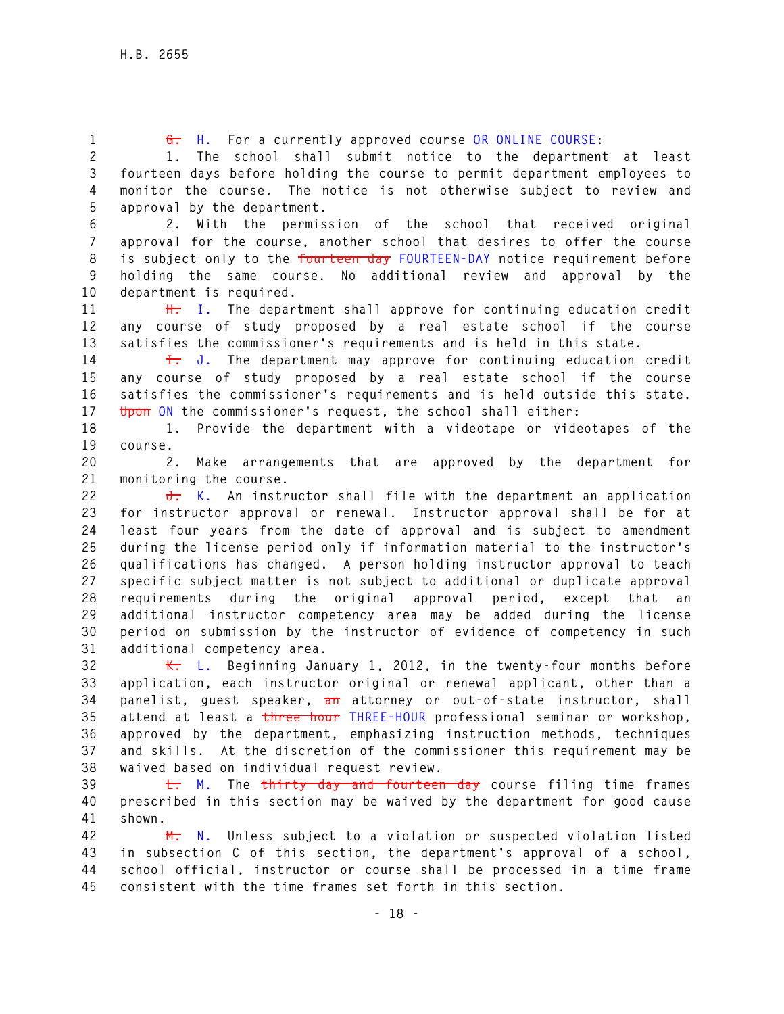**1 G. H. For a currently approved course OR ONLINE COURSE:** 

**2 1. The school shall submit notice to the department at least 3 fourteen days before holding the course to permit department employees to 4 monitor the course. The notice is not otherwise subject to review and 5 approval by the department.** 

**6 2. With the permission of the school that received original 7 approval for the course, another school that desires to offer the course 8 is subject only to the fourteen day FOURTEEN-DAY notice requirement before 9 holding the same course. No additional review and approval by the 10 department is required.** 

**11 H. I. The department shall approve for continuing education credit 12 any course of study proposed by a real estate school if the course 13 satisfies the commissioner's requirements and is held in this state.** 

**14 I. J. The department may approve for continuing education credit 15 any course of study proposed by a real estate school if the course 16 satisfies the commissioner's requirements and is held outside this state. 17 Upon ON the commissioner's request, the school shall either:** 

**18 1. Provide the department with a videotape or videotapes of the 19 course.** 

**20 2. Make arrangements that are approved by the department for 21 monitoring the course.** 

**22 J. K. An instructor shall file with the department an application 23 for instructor approval or renewal. Instructor approval shall be for at 24 least four years from the date of approval and is subject to amendment 25 during the license period only if information material to the instructor's 26 qualifications has changed. A person holding instructor approval to teach 27 specific subject matter is not subject to additional or duplicate approval 28 requirements during the original approval period, except that an 29 additional instructor competency area may be added during the license 30 period on submission by the instructor of evidence of competency in such 31 additional competency area.** 

**32 K. L. Beginning January 1, 2012, in the twenty-four months before 33 application, each instructor original or renewal applicant, other than a 34 panelist, guest speaker, an attorney or out-of-state instructor, shall 35 attend at least a three hour THREE-HOUR professional seminar or workshop, 36 approved by the department, emphasizing instruction methods, techniques 37 and skills. At the discretion of the commissioner this requirement may be 38 waived based on individual request review.** 

**39 L. M. The thirty day and fourteen day course filing time frames 40 prescribed in this section may be waived by the department for good cause 41 shown.** 

**42 M. N. Unless subject to a violation or suspected violation listed 43 in subsection C of this section, the department's approval of a school, 44 school official, instructor or course shall be processed in a time frame 45 consistent with the time frames set forth in this section.**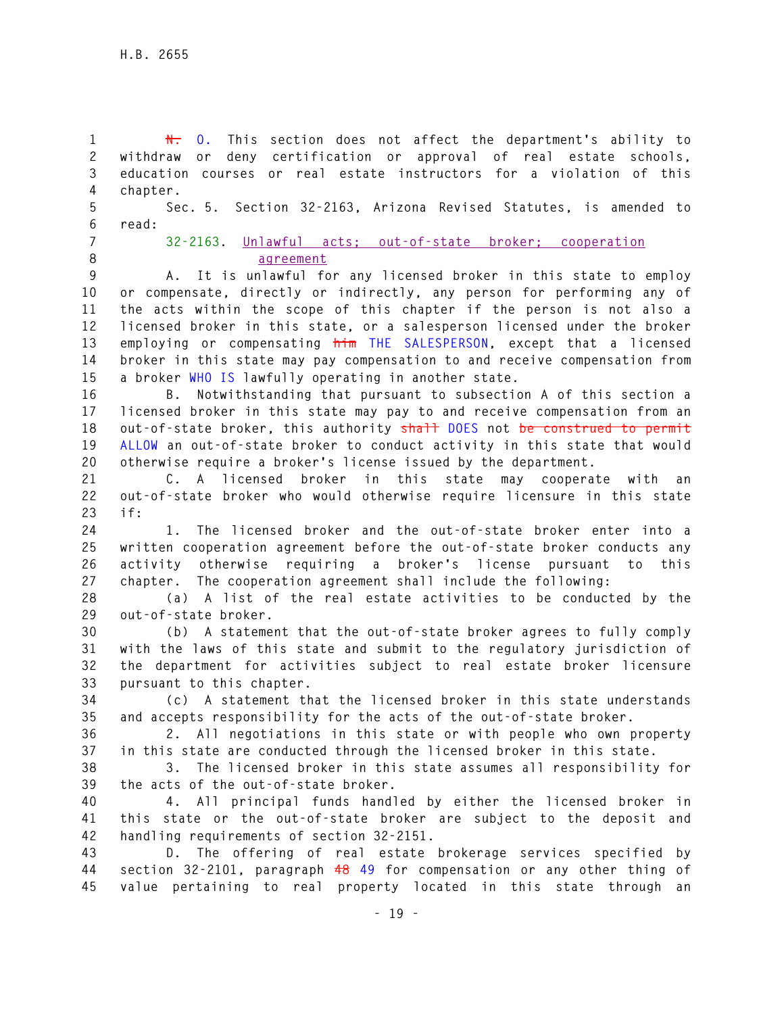**1 N. O. This section does not affect the department's ability to 2 withdraw or deny certification or approval of real estate schools, 3 education courses or real estate instructors for a violation of this 4 chapter. 5 Sec. 5. Section 32-2163, Arizona Revised Statutes, is amended to 6 read: 7 32-2163. Unlawful acts; out-of-state broker; cooperation 8 agreement 9 A. It is unlawful for any licensed broker in this state to employ 10 or compensate, directly or indirectly, any person for performing any of 11 the acts within the scope of this chapter if the person is not also a 12 licensed broker in this state, or a salesperson licensed under the broker 13 employing or compensating him THE SALESPERSON, except that a licensed 14 broker in this state may pay compensation to and receive compensation from 15 a broker WHO IS lawfully operating in another state. 16 B. Notwithstanding that pursuant to subsection A of this section a 17 licensed broker in this state may pay to and receive compensation from an 18 out-of-state broker, this authority shall DOES not be construed to permit 19 ALLOW an out-of-state broker to conduct activity in this state that would 20 otherwise require a broker's license issued by the department. 21 C. A licensed broker in this state may cooperate with an 22 out-of-state broker who would otherwise require licensure in this state 23 if: 24 1. The licensed broker and the out-of-state broker enter into a 25 written cooperation agreement before the out-of-state broker conducts any 26 activity otherwise requiring a broker's license pursuant to this 27 chapter. The cooperation agreement shall include the following: 28 (a) A list of the real estate activities to be conducted by the 29 out-of-state broker. 30 (b) A statement that the out-of-state broker agrees to fully comply 31 with the laws of this state and submit to the regulatory jurisdiction of 32 the department for activities subject to real estate broker licensure 33 pursuant to this chapter. 34 (c) A statement that the licensed broker in this state understands 35 and accepts responsibility for the acts of the out-of-state broker. 36 2. All negotiations in this state or with people who own property 37 in this state are conducted through the licensed broker in this state. 38 3. The licensed broker in this state assumes all responsibility for 39 the acts of the out-of-state broker. 40 4. All principal funds handled by either the licensed broker in 41 this state or the out-of-state broker are subject to the deposit and 42 handling requirements of section 32-2151. 43 D. The offering of real estate brokerage services specified by 44 section 32-2101, paragraph 48 49 for compensation or any other thing of 45 value pertaining to real property located in this state through an**